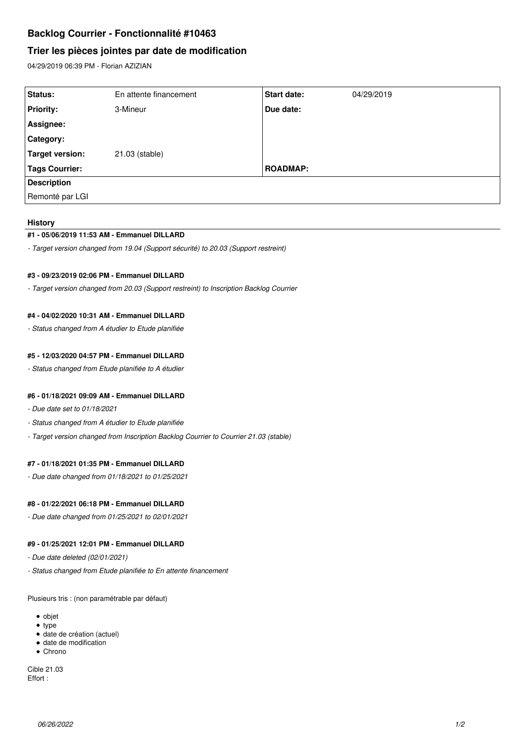# **Backlog Courrier - Fonctionnalité #10463**

# **Trier les pièces jointes par date de modification**

04/29/2019 06:39 PM - Florian AZIZIAN

| Status:               | En attente financement | <b>Start date:</b> | 04/29/2019 |
|-----------------------|------------------------|--------------------|------------|
| <b>Priority:</b>      | 3-Mineur               | Due date:          |            |
| Assignee:             |                        |                    |            |
| <b>Category:</b>      |                        |                    |            |
| Target version:       | 21.03 (stable)         |                    |            |
| <b>Tags Courrier:</b> |                        | <b>ROADMAP:</b>    |            |
| <b>Description</b>    |                        |                    |            |
| Remonté par LGI       |                        |                    |            |

#### **History**

# **#1 - 05/06/2019 11:53 AM - Emmanuel DILLARD**

*- Target version changed from 19.04 (Support sécurité) to 20.03 (Support restreint)*

# **#3 - 09/23/2019 02:06 PM - Emmanuel DILLARD**

*- Target version changed from 20.03 (Support restreint) to Inscription Backlog Courrier*

# **#4 - 04/02/2020 10:31 AM - Emmanuel DILLARD**

*- Status changed from A étudier to Etude planifiée*

### **#5 - 12/03/2020 04:57 PM - Emmanuel DILLARD**

*- Status changed from Etude planifiée to A étudier*

#### **#6 - 01/18/2021 09:09 AM - Emmanuel DILLARD**

- *Due date set to 01/18/2021*
- *Status changed from A étudier to Etude planifiée*
- *Target version changed from Inscription Backlog Courrier to Courrier 21.03 (stable)*

# **#7 - 01/18/2021 01:35 PM - Emmanuel DILLARD**

*- Due date changed from 01/18/2021 to 01/25/2021*

#### **#8 - 01/22/2021 06:18 PM - Emmanuel DILLARD**

*- Due date changed from 01/25/2021 to 02/01/2021*

# **#9 - 01/25/2021 12:01 PM - Emmanuel DILLARD**

*- Due date deleted (02/01/2021)*

*- Status changed from Etude planifiée to En attente financement*

Plusieurs tris : (non paramétrable par défaut)

- objet
- type
- date de création (actuel) date de modification
- Chrono
- 

Cible 21.03 Effort :